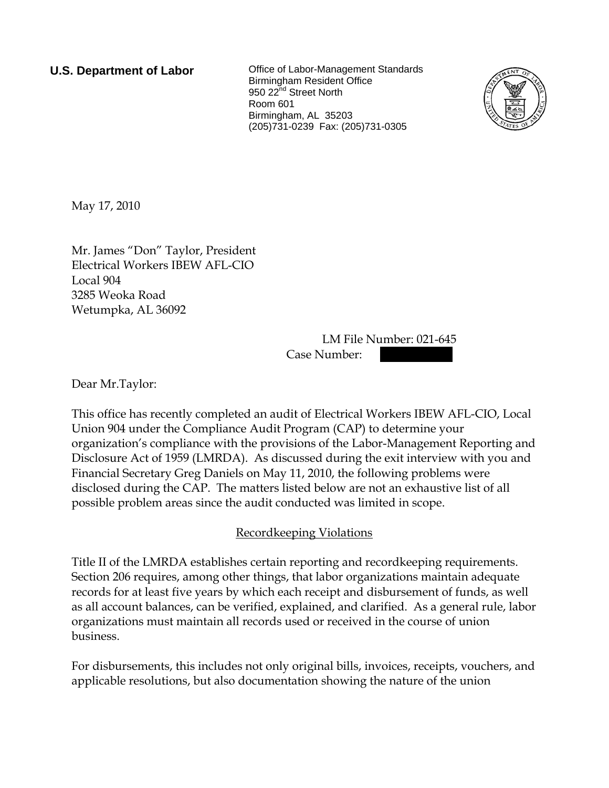**U.S. Department of Labor Collect** Office of Labor-Management Standards Birmingham Resident Office 950 22<sup>nd</sup> Street North Room 601 Birmingham, AL 35203 (205)731-0239 Fax: (205)731-0305



May 17, 2010

Mr. James "Don" Taylor, President Electrical Workers IBEW AFL-CIO Local 904 3285 Weoka Road Wetumpka, AL 36092

> LM File Number: 021-645 Case Number:

Dear Mr.Taylor:

This office has recently completed an audit of Electrical Workers IBEW AFL-CIO, Local Union 904 under the Compliance Audit Program (CAP) to determine your organization's compliance with the provisions of the Labor-Management Reporting and Disclosure Act of 1959 (LMRDA). As discussed during the exit interview with you and Financial Secretary Greg Daniels on May 11, 2010, the following problems were disclosed during the CAP. The matters listed below are not an exhaustive list of all possible problem areas since the audit conducted was limited in scope.

## Recordkeeping Violations

Title II of the LMRDA establishes certain reporting and recordkeeping requirements. Section 206 requires, among other things, that labor organizations maintain adequate records for at least five years by which each receipt and disbursement of funds, as well as all account balances, can be verified, explained, and clarified. As a general rule, labor organizations must maintain all records used or received in the course of union business.

For disbursements, this includes not only original bills, invoices, receipts, vouchers, and applicable resolutions, but also documentation showing the nature of the union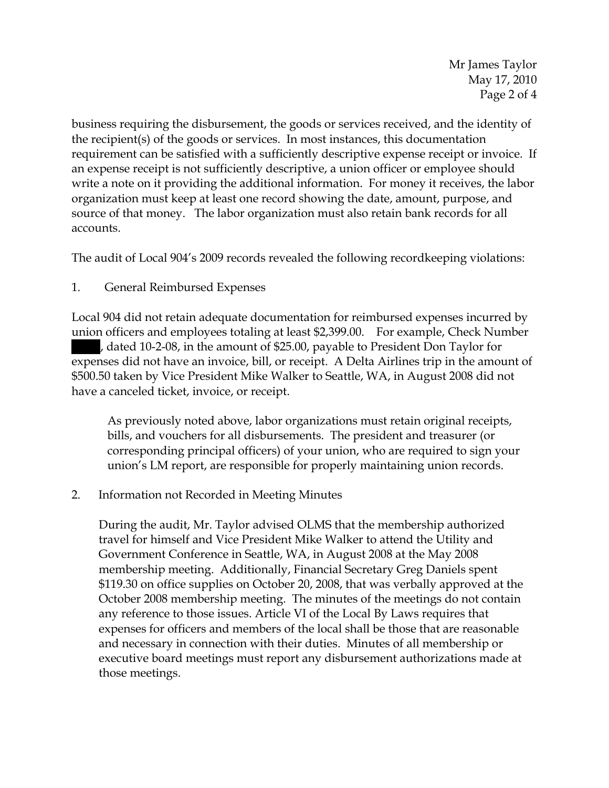Mr James Taylor May 17, 2010 Page 2 of 4

business requiring the disbursement, the goods or services received, and the identity of the recipient(s) of the goods or services. In most instances, this documentation requirement can be satisfied with a sufficiently descriptive expense receipt or invoice. If an expense receipt is not sufficiently descriptive, a union officer or employee should write a note on it providing the additional information. For money it receives, the labor organization must keep at least one record showing the date, amount, purpose, and source of that money. The labor organization must also retain bank records for all accounts.

The audit of Local 904's 2009 records revealed the following recordkeeping violations:

## 1. General Reimbursed Expenses

Local 904 did not retain adequate documentation for reimbursed expenses incurred by union officers and employees totaling at least \$2,399.00. For example, Check Number ||||, dated 10-2-08, in the amount of \$25.00, payable to President Don Taylor for expenses did not have an invoice, bill, or receipt. A Delta Airlines trip in the amount of \$500.50 taken by Vice President Mike Walker to Seattle, WA, in August 2008 did not have a canceled ticket, invoice, or receipt.

As previously noted above, labor organizations must retain original receipts, bills, and vouchers for all disbursements. The president and treasurer (or corresponding principal officers) of your union, who are required to sign your union's LM report, are responsible for properly maintaining union records.

## 2. Information not Recorded in Meeting Minutes

During the audit, Mr. Taylor advised OLMS that the membership authorized travel for himself and Vice President Mike Walker to attend the Utility and Government Conference in Seattle, WA, in August 2008 at the May 2008 membership meeting. Additionally, Financial Secretary Greg Daniels spent \$119.30 on office supplies on October 20, 2008, that was verbally approved at the October 2008 membership meeting. The minutes of the meetings do not contain any reference to those issues. Article VI of the Local By Laws requires that expenses for officers and members of the local shall be those that are reasonable and necessary in connection with their duties. Minutes of all membership or executive board meetings must report any disbursement authorizations made at those meetings.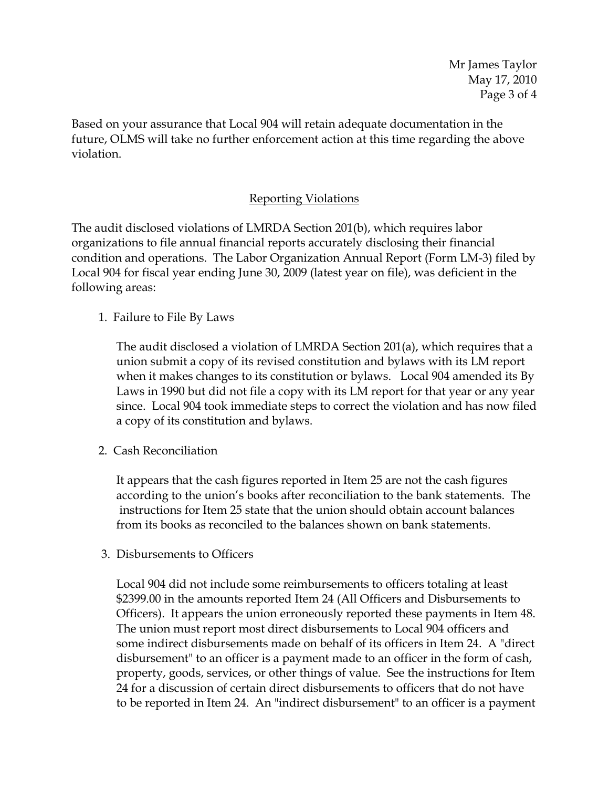Based on your assurance that Local 904 will retain adequate documentation in the future, OLMS will take no further enforcement action at this time regarding the above violation.

## Reporting Violations

The audit disclosed violations of LMRDA Section 201(b), which requires labor organizations to file annual financial reports accurately disclosing their financial condition and operations. The Labor Organization Annual Report (Form LM-3) filed by Local 904 for fiscal year ending June 30, 2009 (latest year on file), was deficient in the following areas:

1. Failure to File By Laws

The audit disclosed a violation of LMRDA Section 201(a), which requires that a union submit a copy of its revised constitution and bylaws with its LM report when it makes changes to its constitution or bylaws. Local 904 amended its By Laws in 1990 but did not file a copy with its LM report for that year or any year since. Local 904 took immediate steps to correct the violation and has now filed a copy of its constitution and bylaws.

2. Cash Reconciliation

 It appears that the cash figures reported in Item 25 are not the cash figures according to the union's books after reconciliation to the bank statements. The instructions for Item 25 state that the union should obtain account balances from its books as reconciled to the balances shown on bank statements.

3. Disbursements to Officers

Local 904 did not include some reimbursements to officers totaling at least \$2399.00 in the amounts reported Item 24 (All Officers and Disbursements to Officers). It appears the union erroneously reported these payments in Item 48. The union must report most direct disbursements to Local 904 officers and some indirect disbursements made on behalf of its officers in Item 24. A "direct disbursement" to an officer is a payment made to an officer in the form of cash, property, goods, services, or other things of value. See the instructions for Item 24 for a discussion of certain direct disbursements to officers that do not have to be reported in Item 24. An "indirect disbursement" to an officer is a payment